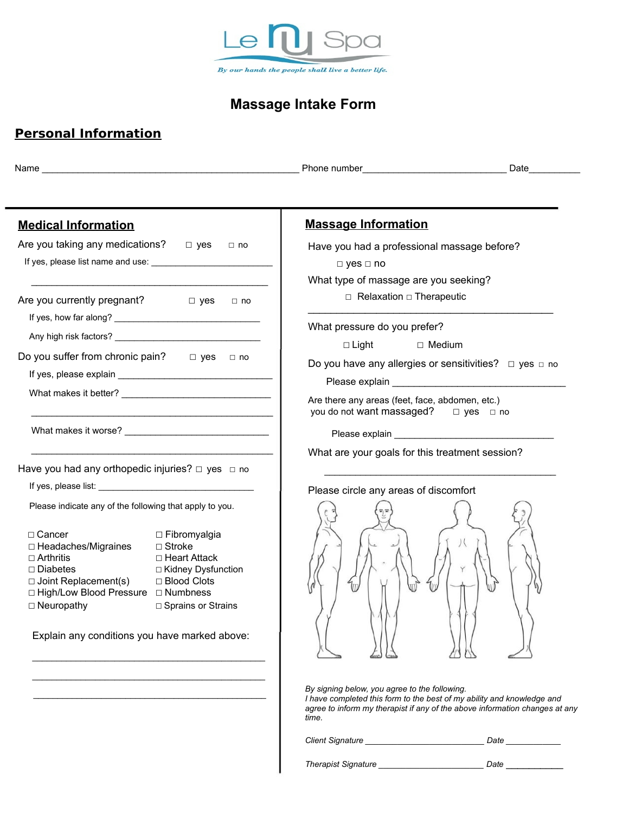

# **Massage Intake Form**

## **Personal Information**

|                                                                                      | Date                                                                                                                                                                                                                          |
|--------------------------------------------------------------------------------------|-------------------------------------------------------------------------------------------------------------------------------------------------------------------------------------------------------------------------------|
|                                                                                      |                                                                                                                                                                                                                               |
| <b>Medical Information</b>                                                           | <b>Massage Information</b>                                                                                                                                                                                                    |
| Are you taking any medications? $\Box$ yes<br>$\Box$ no                              | Have you had a professional massage before?                                                                                                                                                                                   |
|                                                                                      | $\Box$ yes $\Box$ no                                                                                                                                                                                                          |
|                                                                                      | What type of massage are you seeking?                                                                                                                                                                                         |
| Are you currently pregnant? $\Box$ yes<br>$\Box$ no                                  | $\Box$ Relaxation $\Box$ Therapeutic                                                                                                                                                                                          |
|                                                                                      |                                                                                                                                                                                                                               |
|                                                                                      | What pressure do you prefer?                                                                                                                                                                                                  |
| Do you suffer from chronic pain?<br>$\Box$ yes<br>$\Box$ no                          | $\Box$ Light<br>□ Medium                                                                                                                                                                                                      |
|                                                                                      | Do you have any allergies or sensitivities? $\Box$ yes $\Box$ no                                                                                                                                                              |
| What makes it better?                                                                | Please explain example and the state of the state of the state of the state of the state of the state of the state of the state of the state of the state of the state of the state of the state of the state of the state of |
|                                                                                      | Are there any areas (feet, face, abdomen, etc.)<br>you do not want massaged? □ yes □ no                                                                                                                                       |
| What makes it worse?                                                                 |                                                                                                                                                                                                                               |
|                                                                                      | What are your goals for this treatment session?                                                                                                                                                                               |
| Have you had any orthopedic injuries? $\Box$ yes $\Box$ no                           |                                                                                                                                                                                                                               |
|                                                                                      |                                                                                                                                                                                                                               |
| Please indicate any of the following that apply to you.                              | Please circle any areas of discomfort                                                                                                                                                                                         |
|                                                                                      |                                                                                                                                                                                                                               |
| $\Box$ Cancer<br>$\Box$ Fibromyalgia                                                 |                                                                                                                                                                                                                               |
| □ Headaches/Migraines<br>$\Box$ Stroke<br>□ Heart Attack<br>□ Arthritis              |                                                                                                                                                                                                                               |
| $\Box$ Diabetes<br>□ Kidney Dysfunction                                              |                                                                                                                                                                                                                               |
| □ Blood Clots<br>$\Box$ Joint Replacement(s)<br>□ High/Low Blood Pressure □ Numbness |                                                                                                                                                                                                                               |
| $\Box$ Neuropathy<br>□ Sprains or Strains                                            |                                                                                                                                                                                                                               |
|                                                                                      |                                                                                                                                                                                                                               |
| Explain any conditions you have marked above:                                        |                                                                                                                                                                                                                               |
|                                                                                      |                                                                                                                                                                                                                               |
|                                                                                      |                                                                                                                                                                                                                               |
|                                                                                      | By signing below, you agree to the following.<br>I have completed this form to the best of my ability and knowledge and<br>agree to inform my therapist if any of the above information changes at any<br>time.               |
|                                                                                      | Client Signature<br>Date                                                                                                                                                                                                      |

*Therapist Signature \_\_\_\_\_\_\_\_\_\_\_\_\_\_\_\_\_\_\_\_\_\_\_ Date \_\_\_\_\_\_\_\_\_\_*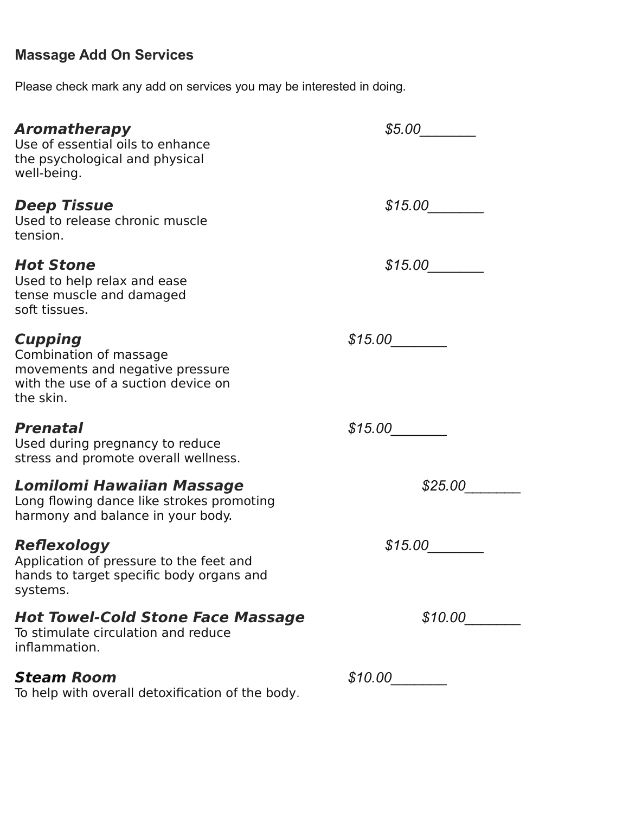# **Massage Add On Services**

Please check mark any add on services you may be interested in doing.

| Aromatherapy<br>Use of essential oils to enhance<br>the psychological and physical<br>well-being.                               | \$5.00  |
|---------------------------------------------------------------------------------------------------------------------------------|---------|
| <b>Deep Tissue</b><br>Used to release chronic muscle<br>tension.                                                                | \$15.00 |
| <b>Hot Stone</b><br>Used to help relax and ease<br>tense muscle and damaged<br>soft tissues.                                    | \$15.00 |
| <b>Cupping</b><br>Combination of massage<br>movements and negative pressure<br>with the use of a suction device on<br>the skin. | \$15.00 |
| <b>Prenatal</b><br>Used during pregnancy to reduce<br>stress and promote overall wellness.                                      | \$15.00 |
| Lomilomi Hawaiian Massage<br>Long flowing dance like strokes promoting<br>harmony and balance in your body.                     | \$25.00 |
| <b>Reflexology</b><br>Application of pressure to the feet and<br>hands to target specific body organs and<br>systems.           | \$15.00 |
| <b>Hot Towel-Cold Stone Face Massage</b><br>To stimulate circulation and reduce<br>inflammation.                                | \$10.00 |
| <b>Steam Room</b><br>To help with overall detoxification of the body.                                                           | \$10.00 |